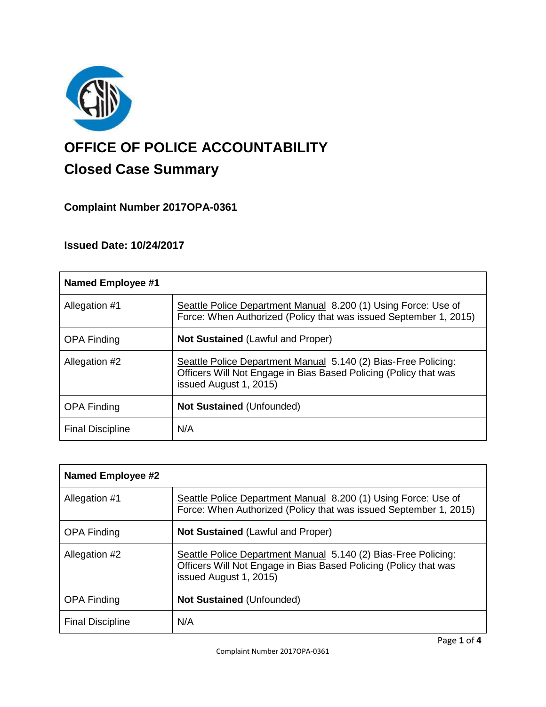

# **OFFICE OF POLICE ACCOUNTABILITY**

# **Closed Case Summary**

### **Complaint Number 2017OPA-0361**

## **Issued Date: 10/24/2017**

| <b>Named Employee #1</b> |                                                                                                                                                              |
|--------------------------|--------------------------------------------------------------------------------------------------------------------------------------------------------------|
| Allegation #1            | Seattle Police Department Manual 8.200 (1) Using Force: Use of<br>Force: When Authorized (Policy that was issued September 1, 2015)                          |
| <b>OPA Finding</b>       | <b>Not Sustained (Lawful and Proper)</b>                                                                                                                     |
| Allegation #2            | Seattle Police Department Manual 5.140 (2) Bias-Free Policing:<br>Officers Will Not Engage in Bias Based Policing (Policy that was<br>issued August 1, 2015) |
| <b>OPA Finding</b>       | <b>Not Sustained (Unfounded)</b>                                                                                                                             |
| <b>Final Discipline</b>  | N/A                                                                                                                                                          |

| Named Employee #2       |                                                                                                                                                              |
|-------------------------|--------------------------------------------------------------------------------------------------------------------------------------------------------------|
| Allegation #1           | Seattle Police Department Manual 8.200 (1) Using Force: Use of<br>Force: When Authorized (Policy that was issued September 1, 2015)                          |
| <b>OPA Finding</b>      | <b>Not Sustained (Lawful and Proper)</b>                                                                                                                     |
| Allegation #2           | Seattle Police Department Manual 5.140 (2) Bias-Free Policing:<br>Officers Will Not Engage in Bias Based Policing (Policy that was<br>issued August 1, 2015) |
| <b>OPA Finding</b>      | <b>Not Sustained (Unfounded)</b>                                                                                                                             |
| <b>Final Discipline</b> | N/A                                                                                                                                                          |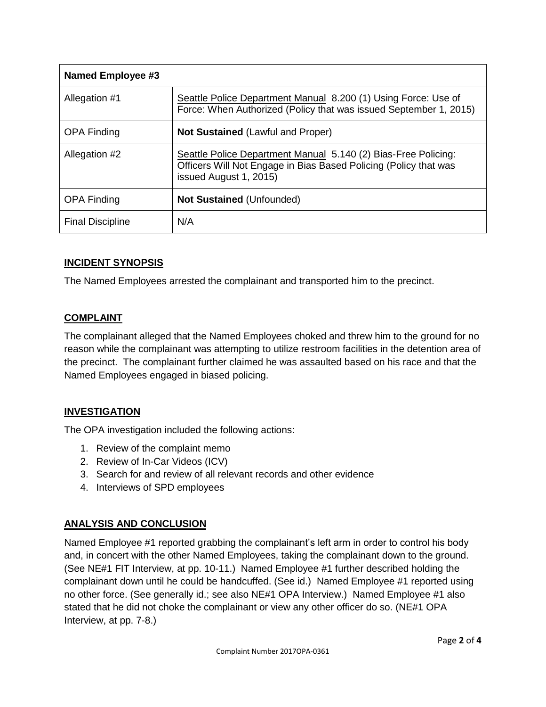| Named Employee #3       |                                                                                                                                                              |
|-------------------------|--------------------------------------------------------------------------------------------------------------------------------------------------------------|
| Allegation #1           | Seattle Police Department Manual 8.200 (1) Using Force: Use of<br>Force: When Authorized (Policy that was issued September 1, 2015)                          |
| <b>OPA Finding</b>      | <b>Not Sustained (Lawful and Proper)</b>                                                                                                                     |
| Allegation #2           | Seattle Police Department Manual 5.140 (2) Bias-Free Policing:<br>Officers Will Not Engage in Bias Based Policing (Policy that was<br>issued August 1, 2015) |
| <b>OPA Finding</b>      | <b>Not Sustained (Unfounded)</b>                                                                                                                             |
| <b>Final Discipline</b> | N/A                                                                                                                                                          |

#### **INCIDENT SYNOPSIS**

The Named Employees arrested the complainant and transported him to the precinct.

#### **COMPLAINT**

The complainant alleged that the Named Employees choked and threw him to the ground for no reason while the complainant was attempting to utilize restroom facilities in the detention area of the precinct. The complainant further claimed he was assaulted based on his race and that the Named Employees engaged in biased policing.

#### **INVESTIGATION**

The OPA investigation included the following actions:

- 1. Review of the complaint memo
- 2. Review of In-Car Videos (ICV)
- 3. Search for and review of all relevant records and other evidence
- 4. Interviews of SPD employees

#### **ANALYSIS AND CONCLUSION**

Named Employee #1 reported grabbing the complainant's left arm in order to control his body and, in concert with the other Named Employees, taking the complainant down to the ground. (See NE#1 FIT Interview, at pp. 10-11.) Named Employee #1 further described holding the complainant down until he could be handcuffed. (See id.) Named Employee #1 reported using no other force. (See generally id.; see also NE#1 OPA Interview.) Named Employee #1 also stated that he did not choke the complainant or view any other officer do so. (NE#1 OPA Interview, at pp. 7-8.)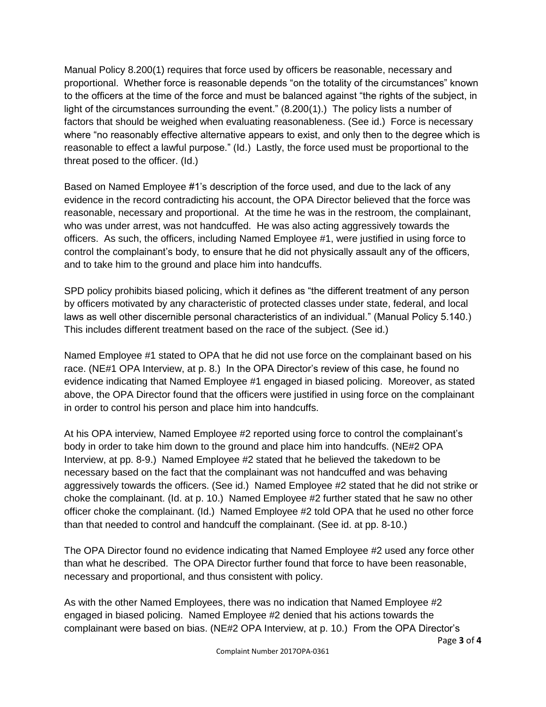Manual Policy 8.200(1) requires that force used by officers be reasonable, necessary and proportional. Whether force is reasonable depends "on the totality of the circumstances" known to the officers at the time of the force and must be balanced against "the rights of the subject, in light of the circumstances surrounding the event." (8.200(1).) The policy lists a number of factors that should be weighed when evaluating reasonableness. (See id.) Force is necessary where "no reasonably effective alternative appears to exist, and only then to the degree which is reasonable to effect a lawful purpose." (Id.) Lastly, the force used must be proportional to the threat posed to the officer. (Id.)

Based on Named Employee #1's description of the force used, and due to the lack of any evidence in the record contradicting his account, the OPA Director believed that the force was reasonable, necessary and proportional. At the time he was in the restroom, the complainant, who was under arrest, was not handcuffed. He was also acting aggressively towards the officers. As such, the officers, including Named Employee #1, were justified in using force to control the complainant's body, to ensure that he did not physically assault any of the officers, and to take him to the ground and place him into handcuffs.

SPD policy prohibits biased policing, which it defines as "the different treatment of any person by officers motivated by any characteristic of protected classes under state, federal, and local laws as well other discernible personal characteristics of an individual." (Manual Policy 5.140.) This includes different treatment based on the race of the subject. (See id.)

Named Employee #1 stated to OPA that he did not use force on the complainant based on his race. (NE#1 OPA Interview, at p. 8.) In the OPA Director's review of this case, he found no evidence indicating that Named Employee #1 engaged in biased policing. Moreover, as stated above, the OPA Director found that the officers were justified in using force on the complainant in order to control his person and place him into handcuffs.

At his OPA interview, Named Employee #2 reported using force to control the complainant's body in order to take him down to the ground and place him into handcuffs. (NE#2 OPA Interview, at pp. 8-9.) Named Employee #2 stated that he believed the takedown to be necessary based on the fact that the complainant was not handcuffed and was behaving aggressively towards the officers. (See id.) Named Employee #2 stated that he did not strike or choke the complainant. (Id. at p. 10.) Named Employee #2 further stated that he saw no other officer choke the complainant. (Id.) Named Employee #2 told OPA that he used no other force than that needed to control and handcuff the complainant. (See id. at pp. 8-10.)

The OPA Director found no evidence indicating that Named Employee #2 used any force other than what he described. The OPA Director further found that force to have been reasonable, necessary and proportional, and thus consistent with policy.

As with the other Named Employees, there was no indication that Named Employee #2 engaged in biased policing. Named Employee #2 denied that his actions towards the complainant were based on bias. (NE#2 OPA Interview, at p. 10.) From the OPA Director's